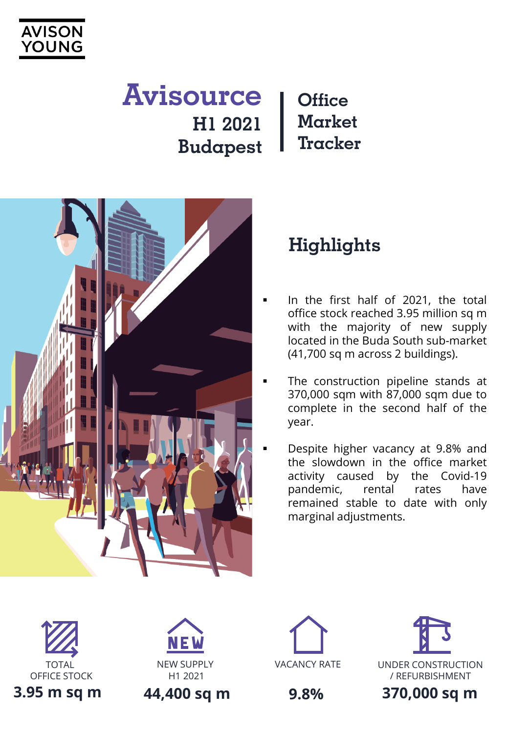

## **Office Market Tracker Avisource H1 2021 Budapest**



# **Highlights**

- In the first half of 2021, the total office stock reached 3.95 million sq m with the majority of new supply located in the Buda South sub-market (41,700 sq m across 2 buildings).
- The construction pipeline stands at 370,000 sqm with 87,000 sqm due to complete in the second half of the year.
- Despite higher vacancy at 9.8% and the slowdown in the office market activity caused by the Covid-19 pandemic, rental rates have remained stable to date with only marginal adjustments.





**44,400 sq m**





**9.8%**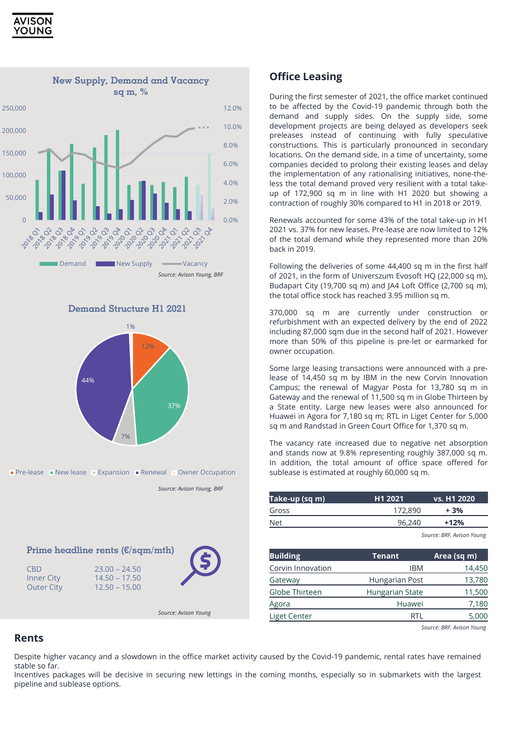







**Pre-lease New lease Expansion Renewal Owner Occupation** 

*Source: Avison Young, BRF*

|                                               | Prime headline rents $(\epsilon/\text{sgm}/\text{mth})$ |                      |
|-----------------------------------------------|---------------------------------------------------------|----------------------|
| CBD<br><b>Inner City</b><br><b>Outer City</b> | $23.00 - 24.50$<br>$14.50 - 17.50$<br>$12.50 - 15.00$   |                      |
|                                               |                                                         | Source: Avison Young |

### **Office Leasing**

During the first semester of 2021, the office market continued to be affected by the Covid-19 pandemic through both the demand and supply sides. On the supply side, some development projects are being delayed as developers seek preleases instead of continuing with fully speculative constructions. This is particularly pronounced in secondary locations. On the demand side, in a time of uncertainty, some companies decided to prolong their existing leases and delay the implementation of any rationalising initiatives, none-theless the total demand proved very resilient with a total takeup of 172,900 sq m in line with H1 2020 but showing a contraction of roughly 30% compared to H1 in 2018 or 2019.

Renewals accounted for some 43% of the total take-up in H1 2021 vs. 37% for new leases. Pre-lease are now limited to 12% of the total demand while they represented more than 20% back in 2019.

Following the deliveries of some 44,400 sq m in the first half of 2021, in the form of Universzum Evosoft HQ (22,000 sq m), Budapart City (19,700 sq m) and JA4 Loft Office (2,700 sq m), the total office stock has reached 3.95 million sq m.

370,000 sq m are currently under construction or refurbishment with an expected delivery by the end of 2022 including 87,000 sqm due in the second half of 2021. However more than 50% of this pipeline is pre-let or earmarked for owner occupation.

Some large leasing transactions were announced with a prelease of 14,450 sq m by IBM in the new Corvin Innovation Campus; the renewal of Magyar Posta for 13,780 sq m in Gateway and the renewal of 11,500 sq m in Globe Thirteen by a State entity. Large new leases were also announced for Huawei in Agora for 7,180 sq m; RTL in Liget Center for 5,000 sq m and Randstad in Green Court Office for 1,370 sq m.

The vacancy rate increased due to negative net absorption and stands now at 9.8% representing roughly 387,000 sq m. In addition, the total amount of office space offered for sublease is estimated at roughly 60,000 sq m.

| Take-up (sq m) | H <sub>1</sub> 2021 | <b>vs. H1 2020</b> |
|----------------|---------------------|--------------------|
| Gross          | 172,890             | + 3%               |
| <b>Net</b>     | 96.240              | $+12%$             |

*Source: BRF, Avison Young*

| <b>Building</b>   | Tenant          | Area (sq m) |
|-------------------|-----------------|-------------|
| Corvin Innovation | <b>IBM</b>      | 14,450      |
| Gateway           | Hungarian Post  | 13,780      |
| Globe Thirteen    | Hungarian State | 11,500      |
| Agora             | Huawei          | 7,180       |
| Liget Center      |                 | 5,000       |

*Source: BRF, Avison Young*

### **Rents**

Despite higher vacancy and a slowdown in the office market activity caused by the Covid-19 pandemic, rental rates have remained stable so far.

Incentives packages will be decisive in securing new lettings in the coming months, especially so in submarkets with the largest pipeline and sublease options.